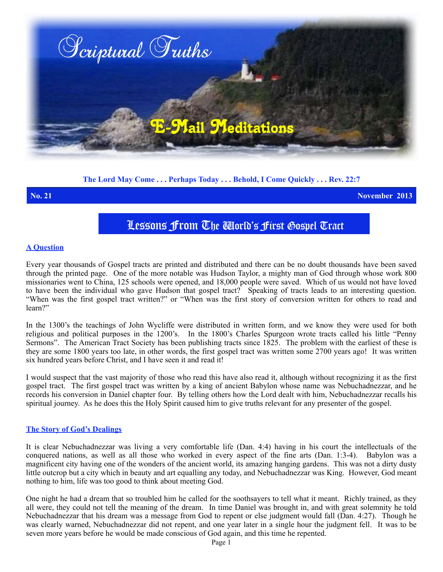

# **The Lord May Come . . . Perhaps Today . . . Behold, I Come Quickly . . . Rev. 22:7**

**No. 21 November 2013**

# Lessons From The World's First Gospel Tract

# **A Question**

Every year thousands of Gospel tracts are printed and distributed and there can be no doubt thousands have been saved through the printed page. One of the more notable was Hudson Taylor, a mighty man of God through whose work 800 missionaries went to China, 125 schools were opened, and 18,000 people were saved. Which of us would not have loved to have been the individual who gave Hudson that gospel tract? Speaking of tracts leads to an interesting question. "When was the first gospel tract written?" or "When was the first story of conversion written for others to read and learn?"

In the 1300's the teachings of John Wycliffe were distributed in written form, and we know they were used for both religious and political purposes in the 1200's. In the 1800's Charles Spurgeon wrote tracts called his little "Penny Sermons". The American Tract Society has been publishing tracts since 1825. The problem with the earliest of these is they are some 1800 years too late, in other words, the first gospel tract was written some 2700 years ago! It was written six hundred years before Christ, and I have seen it and read it!

I would suspect that the vast majority of those who read this have also read it, although without recognizing it as the first gospel tract. The first gospel tract was written by a king of ancient Babylon whose name was Nebuchadnezzar, and he records his conversion in Daniel chapter four. By telling others how the Lord dealt with him, Nebuchadnezzar recalls his spiritual journey. As he does this the Holy Spirit caused him to give truths relevant for any presenter of the gospel.

### **The Story of God's Dealings**

It is clear Nebuchadnezzar was living a very comfortable life (Dan. 4:4) having in his court the intellectuals of the conquered nations, as well as all those who worked in every aspect of the fine arts (Dan. 1:3-4). Babylon was a magnificent city having one of the wonders of the ancient world, its amazing hanging gardens. This was not a dirty dusty little outcrop but a city which in beauty and art equalling any today, and Nebuchadnezzar was King. However, God meant nothing to him, life was too good to think about meeting God.

One night he had a dream that so troubled him he called for the soothsayers to tell what it meant. Richly trained, as they all were, they could not tell the meaning of the dream. In time Daniel was brought in, and with great solemnity he told Nebuchadnezzar that his dream was a message from God to repent or else judgment would fall (Dan. 4:27). Though he was clearly warned, Nebuchadnezzar did not repent, and one year later in a single hour the judgment fell. It was to be seven more years before he would be made conscious of God again, and this time he repented.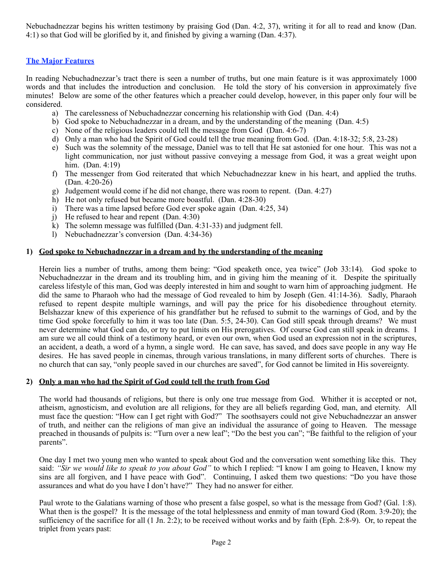Nebuchadnezzar begins his written testimony by praising God (Dan. 4:2, 37), writing it for all to read and know (Dan. 4:1) so that God will be glorified by it, and finished by giving a warning (Dan. 4:37).

## **The Major Features**

In reading Nebuchadnezzar's tract there is seen a number of truths, but one main feature is it was approximately 1000 words and that includes the introduction and conclusion. He told the story of his conversion in approximately five minutes! Below are some of the other features which a preacher could develop, however, in this paper only four will be considered.

- a) The carelessness of Nebuchadnezzar concerning his relationship with God (Dan. 4:4)
- b) God spoke to Nebuchadnezzar in a dream, and by the understanding of the meaning (Dan. 4:5)
- c) None of the religious leaders could tell the message from God (Dan. 4:6-7)
- d) Only a man who had the Spirit of God could tell the true meaning from God. (Dan. 4:18-32; 5:8, 23-28)
- e) Such was the solemnity of the message, Daniel was to tell that He sat astonied for one hour. This was not a light communication, nor just without passive conveying a message from God, it was a great weight upon him. (Dan. 4:19)
- f) The messenger from God reiterated that which Nebuchadnezzar knew in his heart, and applied the truths. (Dan. 4:20-26)
- g) Judgement would come if he did not change, there was room to repent. (Dan. 4:27)
- h) He not only refused but became more boastful. (Dan. 4:28-30)
- i) There was a time lapsed before God ever spoke again (Dan. 4:25, 34)
- j) He refused to hear and repent (Dan. 4:30)
- k) The solemn message was fulfilled (Dan. 4:31-33) and judgment fell.
- l) Nebuchadnezzar's conversion (Dan. 4:34-36)

### **1) God spoke to Nebuchadnezzar in a dream and by the understanding of the meaning**

Herein lies a number of truths, among them being: "God speaketh once, yea twice" (Job 33:14). God spoke to Nebuchadnezzar in the dream and its troubling him, and in giving him the meaning of it. Despite the spiritually careless lifestyle of this man, God was deeply interested in him and sought to warn him of approaching judgment. He did the same to Pharaoh who had the message of God revealed to him by Joseph (Gen. 41:14-36). Sadly, Pharaoh refused to repent despite multiple warnings, and will pay the price for his disobedience throughout eternity. Belshazzar knew of this experience of his grandfather but he refused to submit to the warnings of God, and by the time God spoke forcefully to him it was too late (Dan. 5:5, 24-30). Can God still speak through dreams? We must never determine what God can do, or try to put limits on His prerogatives. Of course God can still speak in dreams. I am sure we all could think of a testimony heard, or even our own, when God used an expression not in the scriptures, an accident, a death, a word of a hymn, a single word. He can save, has saved, and does save people in any way He desires. He has saved people in cinemas, through various translations, in many different sorts of churches. There is no church that can say, "only people saved in our churches are saved", for God cannot be limited in His sovereignty.

### **2) Only a man who had the Spirit of God could tell the truth from God**

The world had thousands of religions, but there is only one true message from God. Whither it is accepted or not, atheism, agnosticism, and evolution are all religions, for they are all beliefs regarding God, man, and eternity. All must face the question: "How can I get right with God?" The soothsayers could not give Nebuchadnezzar an answer of truth, and neither can the religions of man give an individual the assurance of going to Heaven. The message preached in thousands of pulpits is: "Turn over a new leaf"; "Do the best you can"; "Be faithful to the religion of your parents".

One day I met two young men who wanted to speak about God and the conversation went something like this. They said: *"Sir we would like to speak to you about God"* to which I replied: "I know I am going to Heaven, I know my sins are all forgiven, and I have peace with God". Continuing, I asked them two questions: "Do you have those assurances and what do you have  $\overline{I}$  don't have?" They had no answer for either.

Paul wrote to the Galatians warning of those who present a false gospel, so what is the message from God? (Gal. 1:8). What then is the gospel? It is the message of the total helplessness and enmity of man toward God (Rom. 3:9-20); the sufficiency of the sacrifice for all (1 Jn. 2:2); to be received without works and by faith (Eph. 2:8-9). Or, to repeat the triplet from years past: